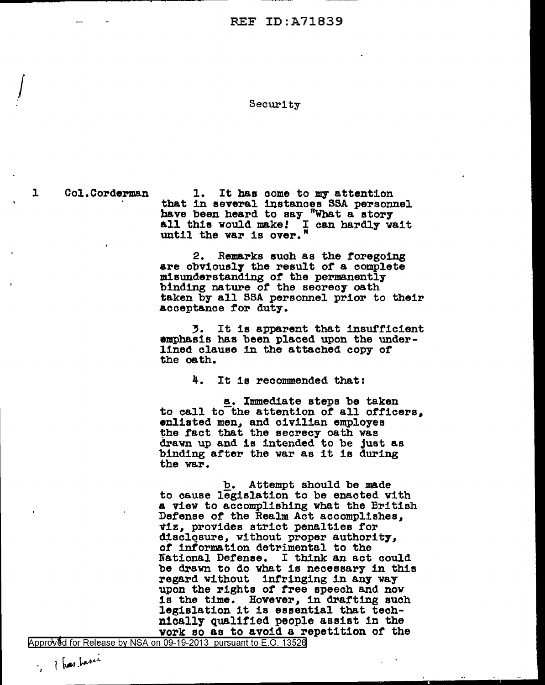## Security

 $\int$ 

1 Col.Corderman 1. It has come to my attention<br>that in several instances SSA personnel have been heard to say "What a story all this would make! I can hardly vait until the var is over."

> 2. Remarks such as the foregoing<br>are obviously the result of a complete misunderstanding of the permanently binding nature of the secrecy oath taken by all SSA personnel prior to their acceptance tor duty.

> 3. It is apparent that insufficient emphasis has been placed upon the underlined clause in the attached copy *ot*  the oath.

> > 4. It is reconnnended that:

a. Immediate steps be taken to call to the attention of all officers. enlisted men, and civilian employee the fact that the secrecy oath was drawn up and is intended to be just as binding after the war as it is during the war.

b. Attempt should be made to cause legislation to be enacted with a view to accomplishing what the British Defense of the Realm Act accomplishes, ~1z, provides strict penalties tor disclosure, without proper authority, *ot* intormation detrimental to the National Defense. I think an act could be drawn to do what is necessary in this regard without infringing in any way upon the rights of free speech and now is the time. However, in dratting such legislation it is essential that technically qualified people assist in the vork so as to avoid a repetition of the